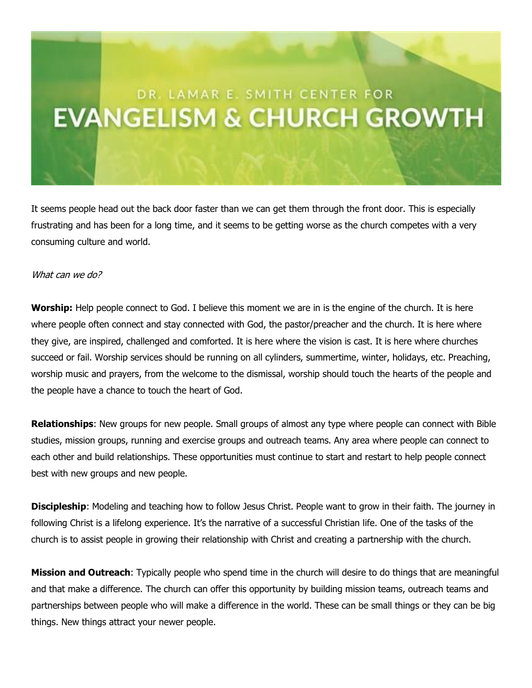## DR. LAMAR E. SMITH CENTER FOR **EVANGELISM & CHURCH GROWTH**

It seems people head out the back door faster than we can get them through the front door. This is especially frustrating and has been for a long time, and it seems to be getting worse as the church competes with a very consuming culture and world.

## What can we do?

**Worship:** Help people connect to God. I believe this moment we are in is the engine of the church. It is here where people often connect and stay connected with God, the pastor/preacher and the church. It is here where they give, are inspired, challenged and comforted. It is here where the vision is cast. It is here where churches succeed or fail. Worship services should be running on all cylinders, summertime, winter, holidays, etc. Preaching, worship music and prayers, from the welcome to the dismissal, worship should touch the hearts of the people and the people have a chance to touch the heart of God.

**Relationships**: New groups for new people. Small groups of almost any type where people can connect with Bible studies, mission groups, running and exercise groups and outreach teams. Any area where people can connect to each other and build relationships. These opportunities must continue to start and restart to help people connect best with new groups and new people.

**Discipleship**: Modeling and teaching how to follow Jesus Christ. People want to grow in their faith. The journey in following Christ is a lifelong experience. It's the narrative of a successful Christian life. One of the tasks of the church is to assist people in growing their relationship with Christ and creating a partnership with the church.

**Mission and Outreach**: Typically people who spend time in the church will desire to do things that are meaningful and that make a difference. The church can offer this opportunity by building mission teams, outreach teams and partnerships between people who will make a difference in the world. These can be small things or they can be big things. New things attract your newer people.